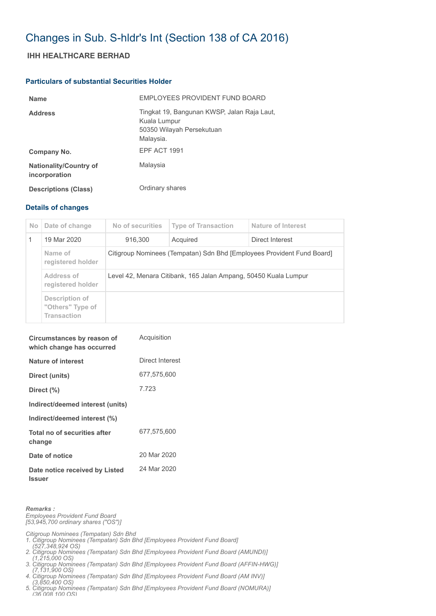## Changes in Sub. S-hldr's Int (Section 138 of CA 2016)

## **IHH HEALTHCARE BERHAD**

## **Particulars of substantial Securities Holder**

| <b>Name</b>                                    | EMPLOYEES PROVIDENT FUND BOARD                                                                        |
|------------------------------------------------|-------------------------------------------------------------------------------------------------------|
| <b>Address</b>                                 | Tingkat 19, Bangunan KWSP, Jalan Raja Laut,<br>Kuala Lumpur<br>50350 Wilayah Persekutuan<br>Malaysia. |
| Company No.                                    | EPF ACT 1991                                                                                          |
| <b>Nationality/Country of</b><br>incorporation | Malaysia                                                                                              |
| <b>Descriptions (Class)</b>                    | Ordinary shares                                                                                       |

## **Details of changes**

| No. | Date of change                                    | No of securities                                                       | <b>Type of Transaction</b> | Nature of Interest |  |
|-----|---------------------------------------------------|------------------------------------------------------------------------|----------------------------|--------------------|--|
|     | 19 Mar 2020                                       | 916.300                                                                | Acquired                   | Direct Interest    |  |
|     | Name of<br>registered holder                      | Citigroup Nominees (Tempatan) Sdn Bhd [Employees Provident Fund Board] |                            |                    |  |
|     | Address of<br>registered holder                   | Level 42, Menara Citibank, 165 Jalan Ampang, 50450 Kuala Lumpur        |                            |                    |  |
|     | Description of<br>"Others" Type of<br>Transaction |                                                                        |                            |                    |  |

| Circumstances by reason of<br>which change has occurred | Acquisition     |
|---------------------------------------------------------|-----------------|
| Nature of interest                                      | Direct Interest |
| Direct (units)                                          | 677,575,600     |
| Direct $(\% )$                                          | 7.723           |
| Indirect/deemed interest (units)                        |                 |
| Indirect/deemed interest (%)                            |                 |
| Total no of securities after<br>change                  | 677,575,600     |
| Date of notice                                          | 20 Mar 2020     |
| Date notice received by Listed<br><b>Issuer</b>         | 24 Mar 2020     |

*Remarks :*

*Employees Provident Fund Board [53,945,700 ordinary shares ("OS")]*

*Citigroup Nominees (Tempatan) Sdn Bhd* 

- *1. Citigroup Nominees (Tempatan) Sdn Bhd [Employees Provident Fund Board]*
- *(527,348,924 OS) 2. Citigroup Nominees (Tempatan) Sdn Bhd [Employees Provident Fund Board (AMUNDI)]*
- *(1,215,000 OS) 3. Citigroup Nominees (Tempatan) Sdn Bhd [Employees Provident Fund Board (AFFIN-HWG)]*
- *(7,131,900 OS) 4. Citigroup Nominees (Tempatan) Sdn Bhd [Employees Provident Fund Board (AM INV)]*
- *(3,850,400 OS)*
- *5. Citigroup Nominees (Tempatan) Sdn Bhd [Employees Provident Fund Board (NOMURA)] (36 008 100 OS)*